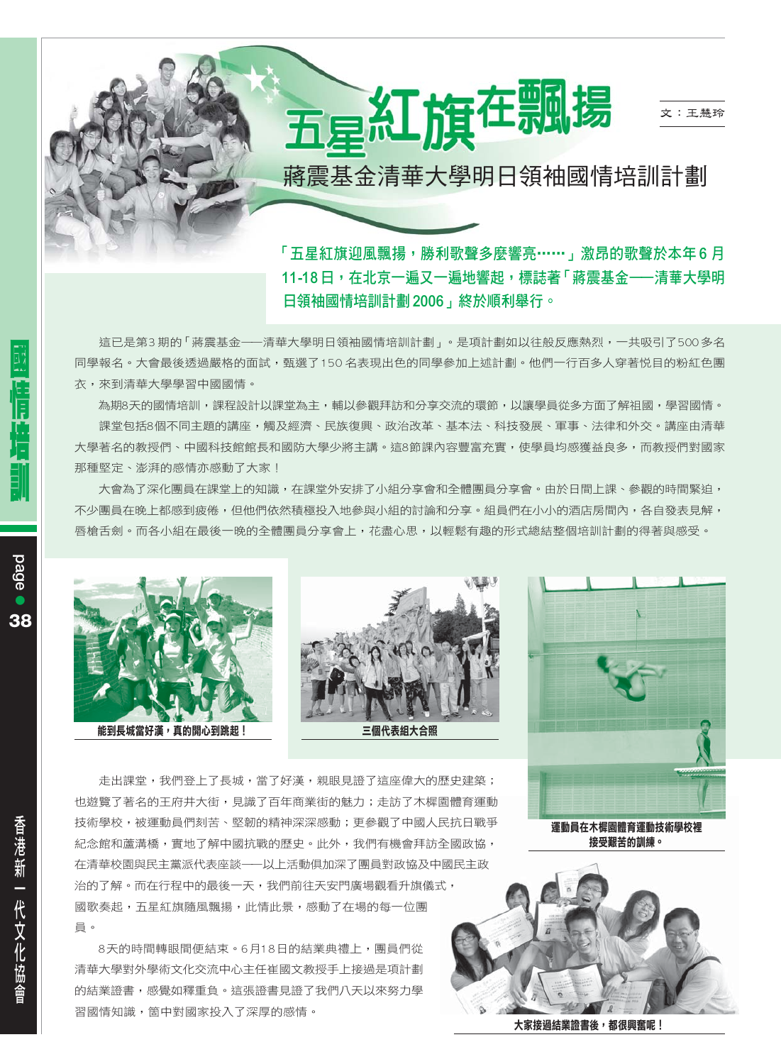

# 蔣震基金清華大學明日領袖國情培訓計劃

「五星紅旗迎風飄揚,勝利歌聲多麼響亮……」激昂的歌聲於本年6月 11-18日,在北京一遍又一遍地響起,標誌著「蔣震基金——清華大學明 日領袖國情培訓計劃2006,終於順利舉行。

這已是第3期的「蔣震基金——清華大學明日領袖國情培訓計劃」。是項計劃如以往般反應熱烈,一共吸引了500多名 同學報名。大會最後透過嚴格的面試,甄選了150名表現出色的同學參加上述計劃。他們一行百多人穿著悦目的粉紅色團 衣,來到清華大學學習中國國情。

為期8天的國情培訓,課程設計以課堂為主,輔以參觀拜訪和分享交流的環節,以讓學員從多方面了解祖國,學習國情。 課堂包括8個不同主題的講座,觸及經濟、民族復興、政治改革、基本法、科技發展、軍事、法律和外交。講座由清華 大學著名的教将們、中國科技館館長和國防大學少將主講。狺8節課內容豐富充實,使學昌均感獲益良多,而教将們對國家 那種堅定、澎湃的感情亦感動了大家!

大會為了深化團員在課堂上的知識,在課堂外安排了小組分享會和全體團員分享會。由於日間上課、參觀的時間緊迫, 不少團昌在晚上都感到疲倦,但他們依然積極投入地參與小組的討論和分享。組昌們在小小的洒店房間內,各白發表見解, 唇槍舌劍。而各小組在最後一晚的全體團員分享會上,花盡心思,以輕鬆有趣的形式總結整個培訓計劃的得著與感受。







走出課堂,我們登上了長城,當了好漢,親眼見證了狺座偉大的歷史建築; 也遊覽了著名的王府井大街,見識了百年商業街的魅力;走訪了木樨園體育運動 技術學校,被運動員們刻苦、堅韌的精神深深感動;更參觀了中國人民抗日戰爭 紀念館和蘆溝橋,實地了解中國抗戰的歷史。此外,我們有機會拜訪全國政協, 在清華校園與民主黨派代表座談––以上活動俱加深了團員對政協及中國民主政 治的了解。而在行程中的最後一天,我們前往天安門廣場觀看升旗儀式, 國歌奏起,五星紅旗隨風飄揚,此情此景,感動了在場的每一位團 員。

8天的時間轉眼間便結束。6月18日的結業典禮上,團員們從 清華大學對外學術文化交流中心主任崔國文教授手上接過是項計劃 的結業證書,感覺如釋重負。這張證書見證了我們八天以來努力學 習國情知識,箇中對國家投入了深厚的感情。

運動員在木樨園體育運動技術學校裡 接受艱苦的訓練。



大家接過結業證書後,都很興奮呢!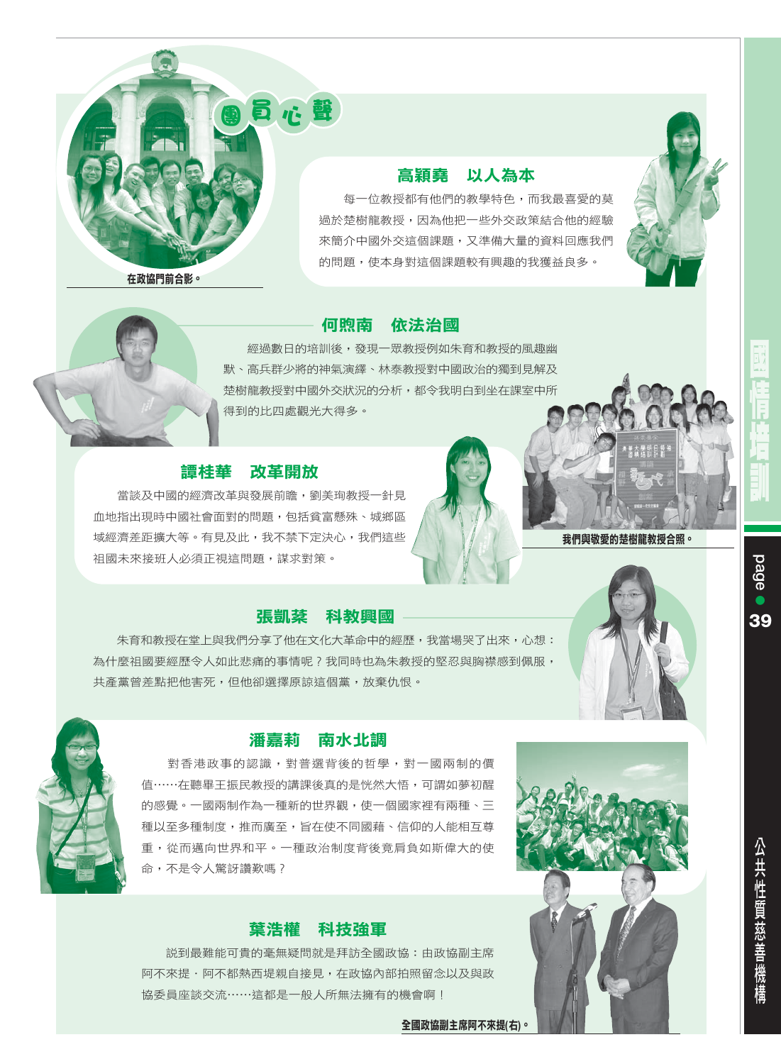

#### 高穎堯 以人為本

每一位教授都有他們的教學特色,而我最喜愛的莫 過於楚樹龍教授,因為他把一些外交政策結合他的經驗 來簡介中國外交這個課題,又準備大量的資料回應我們 的問題,使本身對這個課題較有興趣的我獲益良多。





# 何煦南 依法治國

經過數日的培訓後,發現一眾教授例如朱育和教授的風趣幽 默、高兵群少將的神氣演繹、林泰教授對中國政治的獨到見解及 楚樹龍教授對中國外交狀況的分析,都令我明白到坐在課室中所 得到的比四處觀光大得多。

#### 譚桂華 改革開放

當談及中國的經濟改革與發展前瞻,劉美珣教授一針見 血地指出現時中國社會面對的問題,包括貧富懸殊、城鄉區 域經濟差距擴大等。有見及此,我不禁下定決心,我們這些 祖國未來接班人必須正視這問題,謀求對策。

#### 張凱棻 科教興國

朱育和教授在堂上與我們分享了他在文化大革命中的經歷,我當場哭了出來,心想: 為什麼祖國要經歷令人如此悲痛的事情呢?我同時也為朱教授的堅忍與胸襟感到佩服, 共產黨曾差點把他害死,但他卻選擇原諒這個黨,放棄仇恨。



# 潘嘉莉 南水北調

對香港政事的認識,對普選背後的哲學,對一國兩制的價 值……在聽畢王振民教授的講課後真的是恍然大悟,可謂如夢初醒 的感覺。一國兩制作為一種新的世界觀,使一個國家裡有兩種、三 種以至多種制度,推而廣至,旨在使不同國藉、信仰的人能相互尊 重,從而邁向世界和平。一種政治制度背後竟肩負如斯偉大的使 命,不是令人驚訝讚歎嗎?

#### 葉浩權 科技強軍

説到最難能可貴的毫無疑問就是拜訪全國政協:由政協副主席 阿不來提·阿不都熱西堤親自接見,在政協內部拍照留念以及與政 協委員座談交流……這都是一般人所無法擁有的機會啊!

全國政協副主席阿不來提(右)。



39

公共性質慈善機構



我們與敬愛的楚樹龍教授合照。